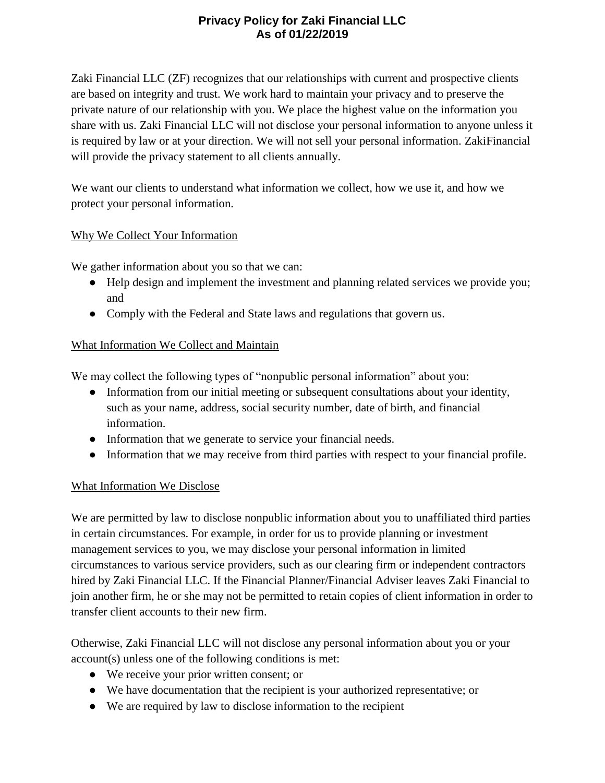# **Privacy Policy for Zaki Financial LLC As of 01/22/2019**

Zaki Financial LLC (ZF) recognizes that our relationships with current and prospective clients are based on integrity and trust. We work hard to maintain your privacy and to preserve the private nature of our relationship with you. We place the highest value on the information you share with us. Zaki Financial LLC will not disclose your personal information to anyone unless it is required by law or at your direction. We will not sell your personal information. ZakiFinancial will provide the privacy statement to all clients annually.

We want our clients to understand what information we collect, how we use it, and how we protect your personal information.

### Why We Collect Your Information

We gather information about you so that we can:

- Help design and implement the investment and planning related services we provide you; and
- Comply with the Federal and State laws and regulations that govern us.

### What Information We Collect and Maintain

We may collect the following types of "nonpublic personal information" about you:

- Information from our initial meeting or subsequent consultations about your identity, such as your name, address, social security number, date of birth, and financial information.
- Information that we generate to service your financial needs.
- Information that we may receive from third parties with respect to your financial profile.

## What Information We Disclose

We are permitted by law to disclose nonpublic information about you to unaffiliated third parties in certain circumstances. For example, in order for us to provide planning or investment management services to you, we may disclose your personal information in limited circumstances to various service providers, such as our clearing firm or independent contractors hired by Zaki Financial LLC. If the Financial Planner/Financial Adviser leaves Zaki Financial to join another firm, he or she may not be permitted to retain copies of client information in order to transfer client accounts to their new firm.

Otherwise, Zaki Financial LLC will not disclose any personal information about you or your account(s) unless one of the following conditions is met:

- We receive your prior written consent; or
- We have documentation that the recipient is your authorized representative; or
- We are required by law to disclose information to the recipient